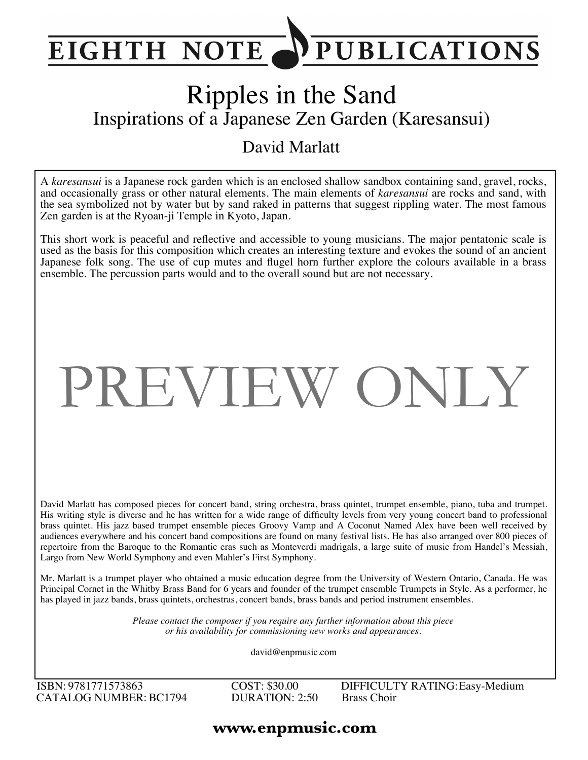

## Ripples in the Sand Inspirations of  $\overline{a}$  Japanese Zen Garden (Karesansui)

## David Marlatt

A *karesansui* is a Japanese rock garden which is an enclosed shallow sandbox containing sand, gravel, rocks, and occasionally grass or other natural elements. The main elements of *karesansui* are rocks and sand, with the sea symbolized not by water but by sand raked in patterns that suggest rippling water. The most famous Zen garden is at the Ryoan-ji Temple in Kyoto, Japan.

This short work is peaceful and reflective and accessible to young musicians. The major pentatonic scale is used as the basis for this composition which creates an interesting texture and evokes the sound of an ancient Japanese folk song. The use of cup mutes and flugel horn further explore the colours available in a brass ensemble. The percussion parts would and to the overall sound but are not necessary.

## PREVIEW ONLY

David Marlatt has composed pieces for concert band, string orchestra, brass quintet, trumpet ensemble, piano, tuba and trumpet. His writing style is diverse and he has written for a wide range of difficulty levels from very young concert band to professional brass quintet. His jazz based trumpet ensemble pieces Groovy Vamp and A Coconut Named Alex have been well received by audiences everywhere and his concert band compositions are found on many festival lists. He has also arranged over 800 pieces of repertoire from the Baroque to the Romantic eras such as Monteverdi madrigals, a large suite of music from Handel's Messiah, Largo from New World Symphony and even Mahler's First Symphony.

Mr. Marlatt is a trumpet player who obtained a music education degree from the University of Western Ontario, Canada. He was Principal Cornet in the Whitby Brass Band for 6 years and founder of the trumpet ensemble Trumpets in Style. As a performer, he has played in jazz bands, brass quintets, orchestras, concert bands, brass bands and period instrument ensembles.

> *Please contact the composer if you require any further information about this piece or his availability for commissioning new works and appearances.*

> > david@enpmusic.com

ISBN: 9781771573863 CATALOG NUMBER: BC1794 COST: \$30.00 DURATION: 2:50

DIFFICULTY RATING:Easy-Medium Brass Choir

## **www.enpmusic.com**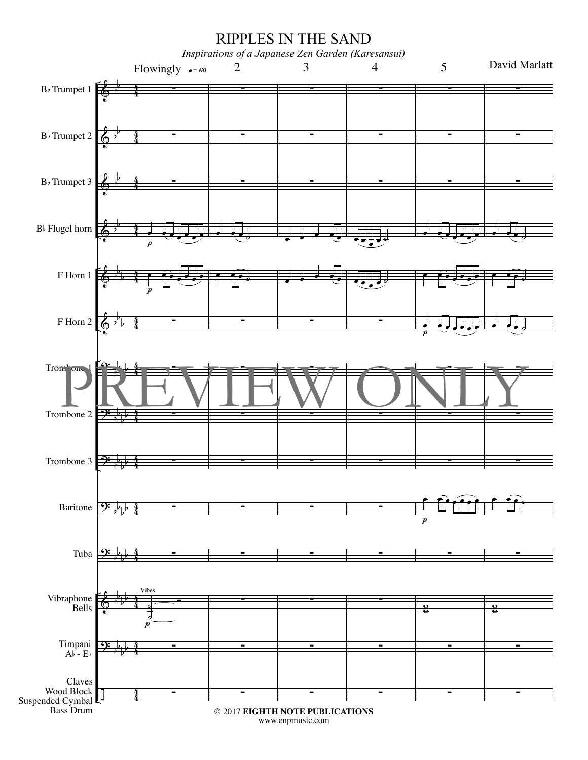

www.enpmusic.com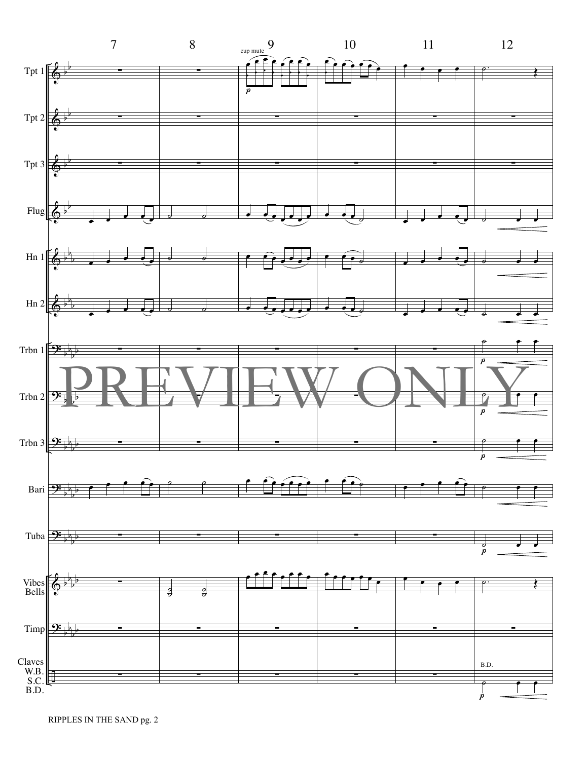

RIPPLES IN THE SAND pg. 2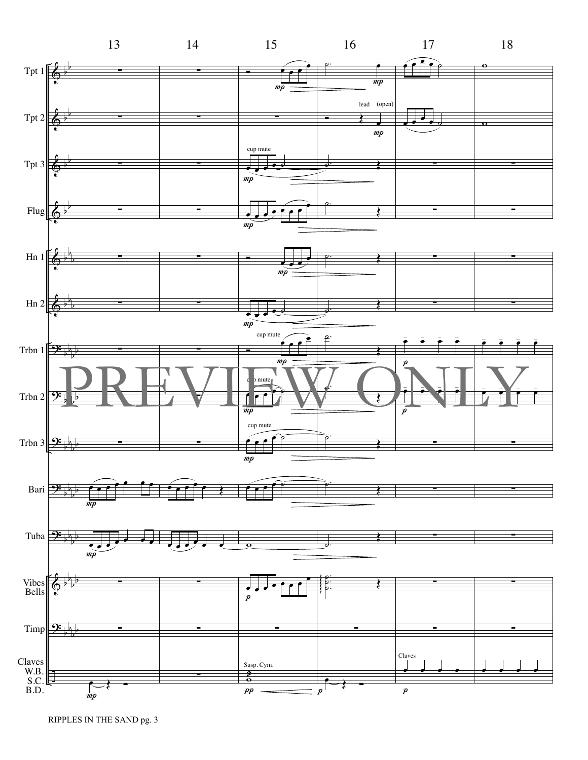

RIPPLES IN THE SAND pg. 3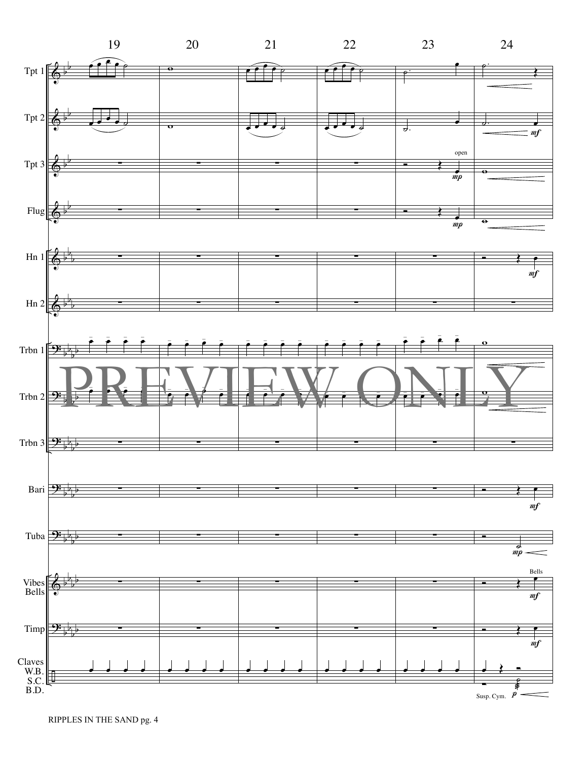

RIPPLES IN THE SAND pg. 4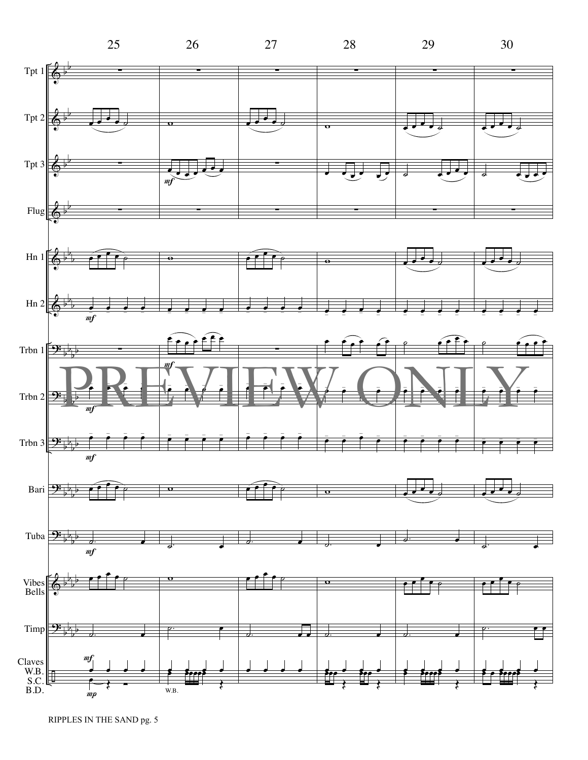

RIPPLES IN THE SAND pg. 5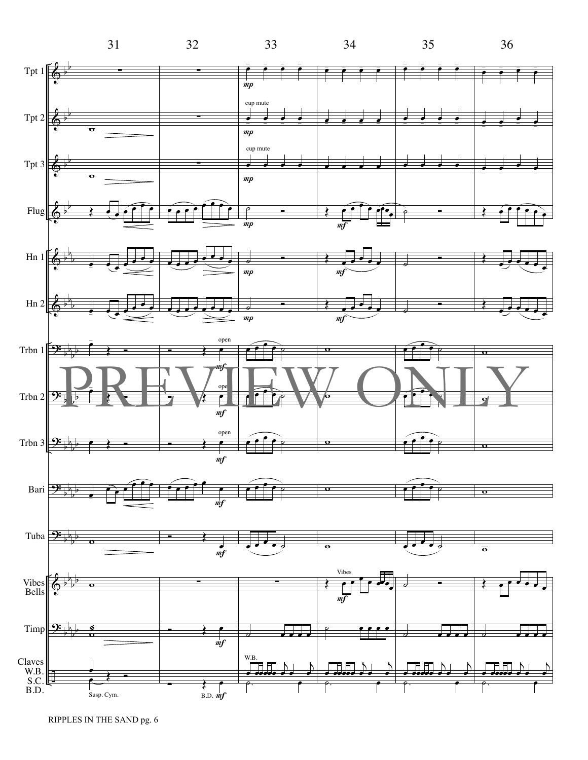